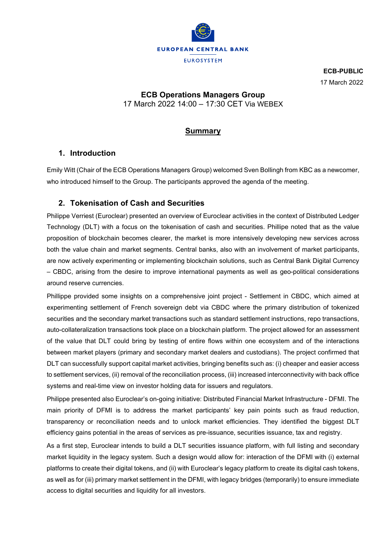

**ECB-PUBLIC** 17 March 2022

## **ECB Operations Managers Group**

17 March 2022 14:00 – 17:30 CET Via WEBEX

# **Summary**

## **1. Introduction**

Emily Witt (Chair of the ECB Operations Managers Group) welcomed Sven Bollingh from KBC as a newcomer, who introduced himself to the Group. The participants approved the agenda of the meeting.

## **2. Tokenisation of Cash and Securities**

Philippe Verriest (Euroclear) presented an overview of Euroclear activities in the context of Distributed Ledger Technology (DLT) with a focus on the tokenisation of cash and securities. Phillipe noted that as the value proposition of blockchain becomes clearer, the market is more intensively developing new services across both the value chain and market segments. Central banks, also with an involvement of market participants, are now actively experimenting or implementing blockchain solutions, such as Central Bank Digital Currency – CBDC, arising from the desire to improve international payments as well as geo-political considerations around reserve currencies.

Phillippe provided some insights on a comprehensive joint project - Settlement in CBDC, which aimed at experimenting settlement of French sovereign debt via CBDC where the primary distribution of tokenized securities and the secondary market transactions such as standard settlement instructions, repo transactions, auto-collateralization transactions took place on a blockchain platform. The project allowed for an assessment of the value that DLT could bring by testing of entire flows within one ecosystem and of the interactions between market players (primary and secondary market dealers and custodians). The project confirmed that DLT can successfully support capital market activities, bringing benefits such as: (i) cheaper and easier access to settlement services, (ii) removal of the reconciliation process, (iii) increased interconnectivity with back office systems and real-time view on investor holding data for issuers and regulators.

Philippe presented also Euroclear's on-going initiative: Distributed Financial Market Infrastructure - DFMI. The main priority of DFMI is to address the market participants' key pain points such as fraud reduction, transparency or reconciliation needs and to unlock market efficiencies. They identified the biggest DLT efficiency gains potential in the areas of services as pre-issuance, securities issuance, tax and registry.

As a first step, Euroclear intends to build a DLT securities issuance platform, with full listing and secondary market liquidity in the legacy system. Such a design would allow for: interaction of the DFMI with (i) external platforms to create their digital tokens, and (ii) with Euroclear's legacy platform to create its digital cash tokens, as well as for (iii) primary market settlement in the DFMI, with legacy bridges (temporarily) to ensure immediate access to digital securities and liquidity for all investors.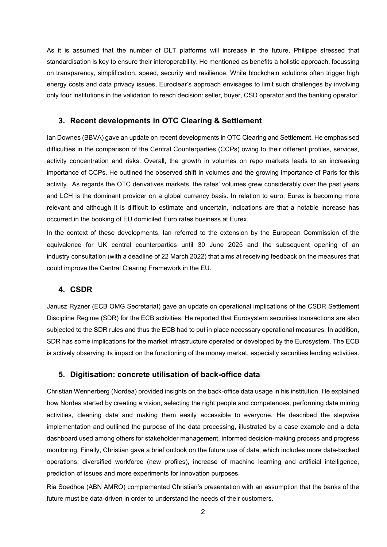As it is assumed that the number of DLT platforms will increase in the future, Philippe stressed that standardisation is key to ensure their interoperability. He mentioned as benefits a holistic approach, focussing on transparency, simplification, speed, security and resilience. While blockchain solutions often trigger high energy costs and data privacy issues, Euroclear's approach envisages to limit such challenges by involving only four institutions in the validation to reach decision: seller, buyer, CSD operator and the banking operator.

#### **3. Recent developments in OTC Clearing & Settlement**

Ian Downes (BBVA) gave an update on recent developments in OTC Clearing and Settlement. He emphasised difficulties in the comparison of the Central Counterparties (CCPs) owing to their different profiles, services, activity concentration and risks. Overall, the growth in volumes on repo markets leads to an increasing importance of CCPs. He outlined the observed shift in volumes and the growing importance of Paris for this activity. As regards the OTC derivatives markets, the rates' volumes grew considerably over the past years and LCH is the dominant provider on a global currency basis. In relation to euro, Eurex is becoming more relevant and although it is difficult to estimate and uncertain, indications are that a notable increase has occurred in the booking of EU domiciled Euro rates business at Eurex.

In the context of these developments, Ian referred to the extension by the European Commission of the equivalence for UK central counterparties until 30 June 2025 and the subsequent opening of an industry consultation (with a deadline of 22 March 2022) that aims at receiving feedback on the measures that could improve the Central Clearing Framework in the EU.

#### **4. CSDR**

Janusz Ryzner (ECB OMG Secretariat) gave an update on operational implications of the CSDR Settlement Discipline Regime (SDR) for the ECB activities. He reported that Eurosystem securities transactions are also subjected to the SDR rules and thus the ECB had to put in place necessary operational measures. In addition, SDR has some implications for the market infrastructure operated or developed by the Eurosystem. The ECB is actively observing its impact on the functioning of the money market, especially securities lending activities.

### **5. Digitisation: concrete utilisation of back-office data**

Christian Wennerberg (Nordea) provided insights on the back-office data usage in his institution. He explained how Nordea started by creating a vision, selecting the right people and competences, performing data mining activities, cleaning data and making them easily accessible to everyone. He described the stepwise implementation and outlined the purpose of the data processing, illustrated by a case example and a data dashboard used among others for stakeholder management, informed decision-making process and progress monitoring. Finally, Christian gave a brief outlook on the future use of data, which includes more data-backed operations, diversified workforce (new profiles), increase of machine learning and artificial intelligence, prediction of issues and more experiments for innovation purposes.

Ria Soedhoe (ABN AMRO) complemented Christian's presentation with an assumption that the banks of the future must be data-driven in order to understand the needs of their customers.